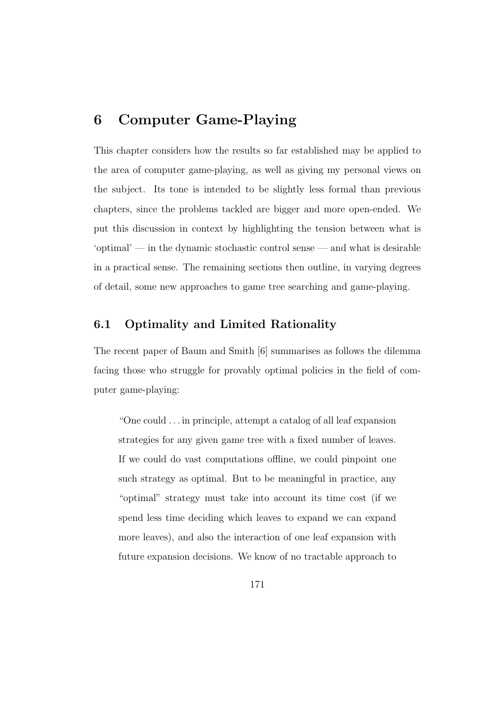# **6 Computer Game-Playing**

This chapter considers how the results so far established may be applied to the area of computer game-playing, as well as giving my personal views on the subject. Its tone is intended to be slightly less formal than previous chapters, since the problems tackled are bigger and more open-ended. We put this discussion in context by highlighting the tension between what is 'optimal' — in the dynamic stochastic control sense — and what is desirable in a practical sense. The remaining sections then outline, in varying degrees of detail, some new approaches to game tree searching and game-playing.

# **6.1 Optimality and Limited Rationality**

The recent paper of Baum and Smith [6] summarises as follows the dilemma facing those who struggle for provably optimal policies in the field of computer game-playing:

"One could . . . in principle, attempt a catalog of all leaf expansion strategies for any given game tree with a fixed number of leaves. If we could do vast computations offline, we could pinpoint one such strategy as optimal. But to be meaningful in practice, any "optimal" strategy must take into account its time cost (if we spend less time deciding which leaves to expand we can expand more leaves), and also the interaction of one leaf expansion with future expansion decisions. We know of no tractable approach to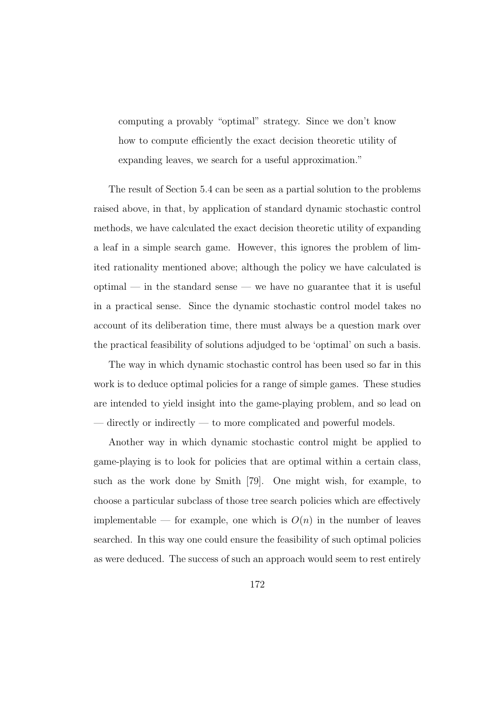computing a provably "optimal" strategy. Since we don't know how to compute efficiently the exact decision theoretic utility of expanding leaves, we search for a useful approximation."

The result of Section 5.4 can be seen as a partial solution to the problems raised above, in that, by application of standard dynamic stochastic control methods, we have calculated the exact decision theoretic utility of expanding a leaf in a simple search game. However, this ignores the problem of limited rationality mentioned above; although the policy we have calculated is optimal — in the standard sense — we have no guarantee that it is useful in a practical sense. Since the dynamic stochastic control model takes no account of its deliberation time, there must always be a question mark over the practical feasibility of solutions adjudged to be 'optimal' on such a basis.

The way in which dynamic stochastic control has been used so far in this work is to deduce optimal policies for a range of simple games. These studies are intended to yield insight into the game-playing problem, and so lead on — directly or indirectly — to more complicated and powerful models.

Another way in which dynamic stochastic control might be applied to game-playing is to look for policies that are optimal within a certain class, such as the work done by Smith [79]. One might wish, for example, to choose a particular subclass of those tree search policies which are effectively implementable — for example, one which is  $O(n)$  in the number of leaves searched. In this way one could ensure the feasibility of such optimal policies as were deduced. The success of such an approach would seem to rest entirely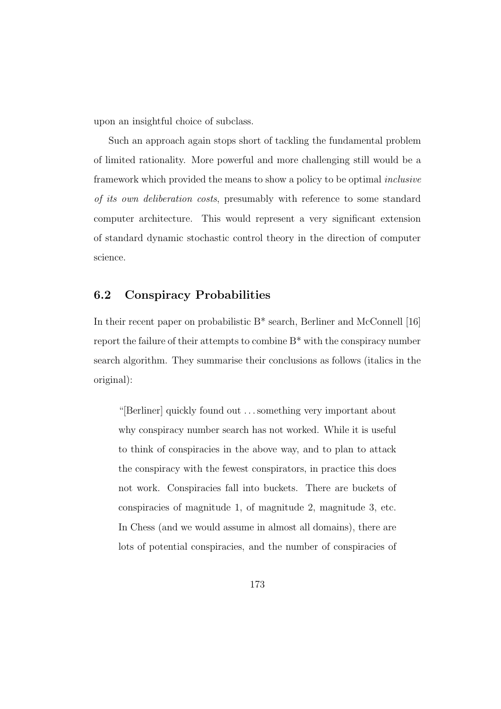upon an insightful choice of subclass.

Such an approach again stops short of tackling the fundamental problem of limited rationality. More powerful and more challenging still would be a framework which provided the means to show a policy to be optimal inclusive of its own deliberation costs, presumably with reference to some standard computer architecture. This would represent a very significant extension of standard dynamic stochastic control theory in the direction of computer science.

### **6.2 Conspiracy Probabilities**

In their recent paper on probabilistic B\* search, Berliner and McConnell [16] report the failure of their attempts to combine B\* with the conspiracy number search algorithm. They summarise their conclusions as follows (italics in the original):

"[Berliner] quickly found out . . . something very important about why conspiracy number search has not worked. While it is useful to think of conspiracies in the above way, and to plan to attack the conspiracy with the fewest conspirators, in practice this does not work. Conspiracies fall into buckets. There are buckets of conspiracies of magnitude 1, of magnitude 2, magnitude 3, etc. In Chess (and we would assume in almost all domains), there are lots of potential conspiracies, and the number of conspiracies of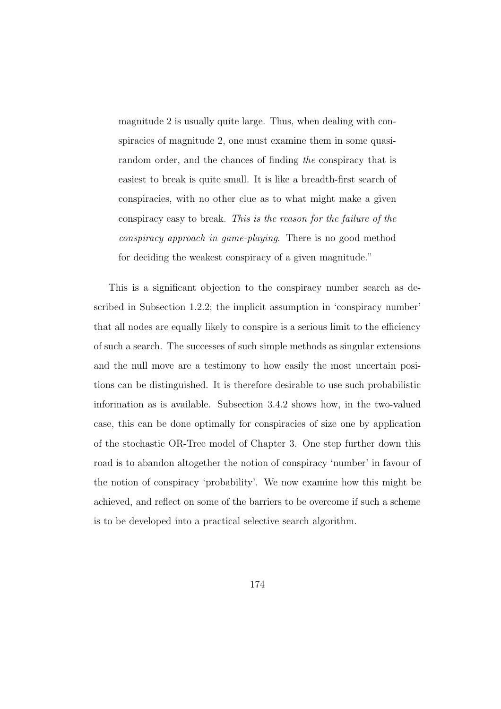magnitude 2 is usually quite large. Thus, when dealing with conspiracies of magnitude 2, one must examine them in some quasirandom order, and the chances of finding the conspiracy that is easiest to break is quite small. It is like a breadth-first search of conspiracies, with no other clue as to what might make a given conspiracy easy to break. This is the reason for the failure of the conspiracy approach in game-playing. There is no good method for deciding the weakest conspiracy of a given magnitude."

This is a significant objection to the conspiracy number search as described in Subsection 1.2.2; the implicit assumption in 'conspiracy number' that all nodes are equally likely to conspire is a serious limit to the efficiency of such a search. The successes of such simple methods as singular extensions and the null move are a testimony to how easily the most uncertain positions can be distinguished. It is therefore desirable to use such probabilistic information as is available. Subsection 3.4.2 shows how, in the two-valued case, this can be done optimally for conspiracies of size one by application of the stochastic OR-Tree model of Chapter 3. One step further down this road is to abandon altogether the notion of conspiracy 'number' in favour of the notion of conspiracy 'probability'. We now examine how this might be achieved, and reflect on some of the barriers to be overcome if such a scheme is to be developed into a practical selective search algorithm.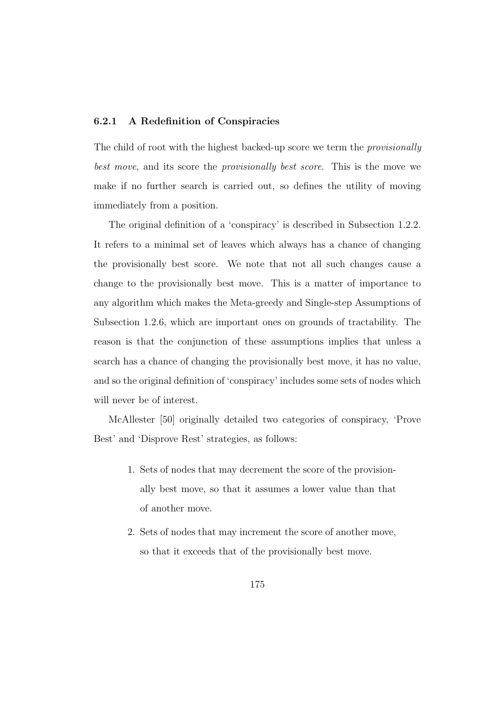#### **6.2.1 A Redefinition of Conspiracies**

The child of root with the highest backed-up score we term the provisionally best move, and its score the provisionally best score. This is the move we make if no further search is carried out, so defines the utility of moving immediately from a position.

The original definition of a 'conspiracy' is described in Subsection 1.2.2. It refers to a minimal set of leaves which always has a chance of changing the provisionally best score. We note that not all such changes cause a change to the provisionally best move. This is a matter of importance to any algorithm which makes the Meta-greedy and Single-step Assumptions of Subsection 1.2.6, which are important ones on grounds of tractability. The reason is that the conjunction of these assumptions implies that unless a search has a chance of changing the provisionally best move, it has no value, and so the original definition of 'conspiracy' includes some sets of nodes which will never be of interest.

McAllester [50] originally detailed two categories of conspiracy, 'Prove Best' and 'Disprove Rest' strategies, as follows:

- 1. Sets of nodes that may decrement the score of the provisionally best move, so that it assumes a lower value than that of another move.
- 2. Sets of nodes that may increment the score of another move, so that it exceeds that of the provisionally best move.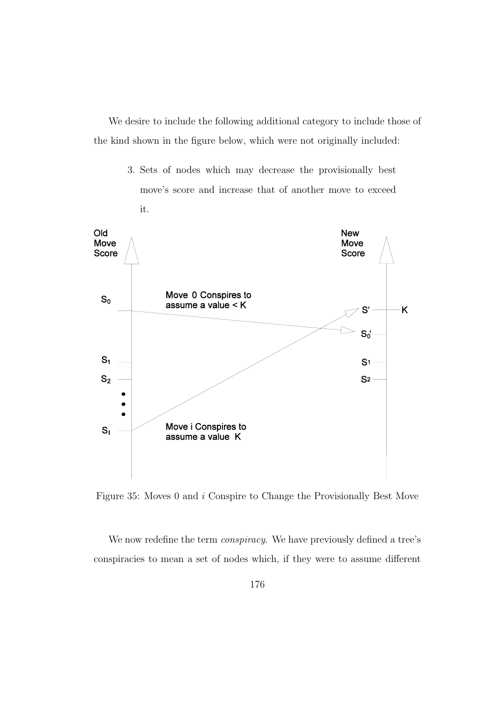We desire to include the following additional category to include those of the kind shown in the figure below, which were not originally included:

> 3. Sets of nodes which may decrease the provisionally best move's score and increase that of another move to exceed it.



Figure 35: Moves 0 and i Conspire to Change the Provisionally Best Move

We now redefine the term *conspiracy*. We have previously defined a tree's conspiracies to mean a set of nodes which, if they were to assume different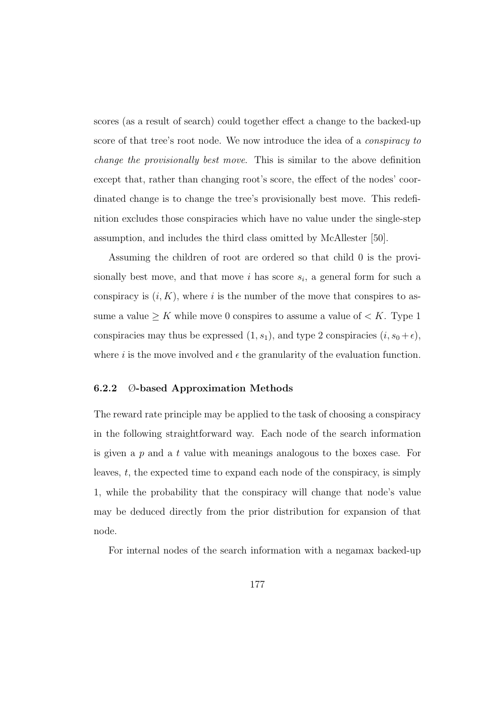scores (as a result of search) could together effect a change to the backed-up score of that tree's root node. We now introduce the idea of a *conspiracy to* change the provisionally best move. This is similar to the above definition except that, rather than changing root's score, the effect of the nodes' coordinated change is to change the tree's provisionally best move. This redefinition excludes those conspiracies which have no value under the single-step assumption, and includes the third class omitted by McAllester [50].

Assuming the children of root are ordered so that child 0 is the provisionally best move, and that move i has score  $s_i$ , a general form for such a conspiracy is  $(i, K)$ , where i is the number of the move that conspires to assume a value  $\geq K$  while move 0 conspires to assume a value of  $\lt K$ . Type 1 conspiracies may thus be expressed  $(1, s_1)$ , and type 2 conspiracies  $(i, s_0 + \epsilon)$ , where i is the move involved and  $\epsilon$  the granularity of the evaluation function.

#### **6.2.2** Ø**-based Approximation Methods**

The reward rate principle may be applied to the task of choosing a conspiracy in the following straightforward way. Each node of the search information is given a p and a t value with meanings analogous to the boxes case. For leaves, t, the expected time to expand each node of the conspiracy, is simply 1, while the probability that the conspiracy will change that node's value may be deduced directly from the prior distribution for expansion of that node.

For internal nodes of the search information with a negamax backed-up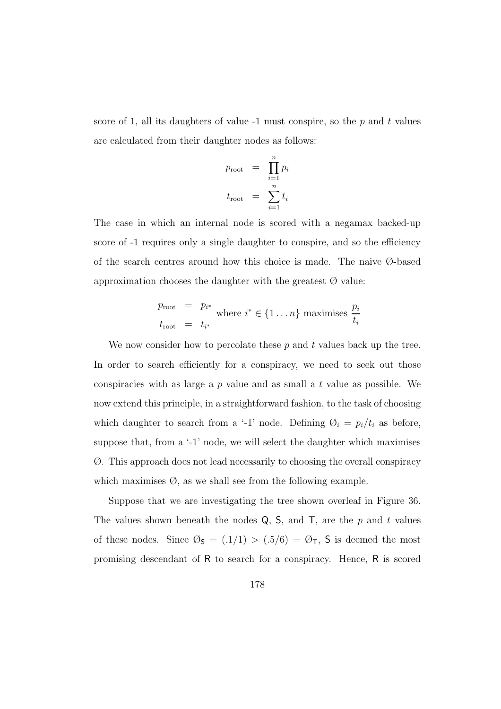score of 1, all its daughters of value  $-1$  must conspire, so the p and t values are calculated from their daughter nodes as follows:

$$
p_{\text{root}} = \prod_{i=1}^{n} p_i
$$

$$
t_{\text{root}} = \sum_{i=1}^{n} t_i
$$

The case in which an internal node is scored with a negamax backed-up score of -1 requires only a single daughter to conspire, and so the efficiency of the search centres around how this choice is made. The naive Ø-based approximation chooses the daughter with the greatest  $\varnothing$  value:

$$
p_{\text{root}} = p_{i^*}
$$
 where  $i^* \in \{1 \dots n\}$  maximises  $\frac{p_i}{t_i}$   
 $t_{\text{root}} = t_{i^*}$ 

We now consider how to percolate these  $p$  and  $t$  values back up the tree. In order to search efficiently for a conspiracy, we need to seek out those conspiracies with as large a  $p$  value and as small a  $t$  value as possible. We now extend this principle, in a straightforward fashion, to the task of choosing which daughter to search from a '-1' node. Defining  $\mathcal{O}_i = p_i/t_i$  as before, suppose that, from a '-1' node, we will select the daughter which maximises Ø. This approach does not lead necessarily to choosing the overall conspiracy which maximises  $\emptyset$ , as we shall see from the following example.

Suppose that we are investigating the tree shown overleaf in Figure 36. The values shown beneath the nodes  $Q$ ,  $S$ , and  $T$ , are the p and t values of these nodes. Since  $\mathcal{O}_S = (0.1/1) > (0.5/6) = \mathcal{O}_T$ , S is deemed the most promising descendant of R to search for a conspiracy. Hence, R is scored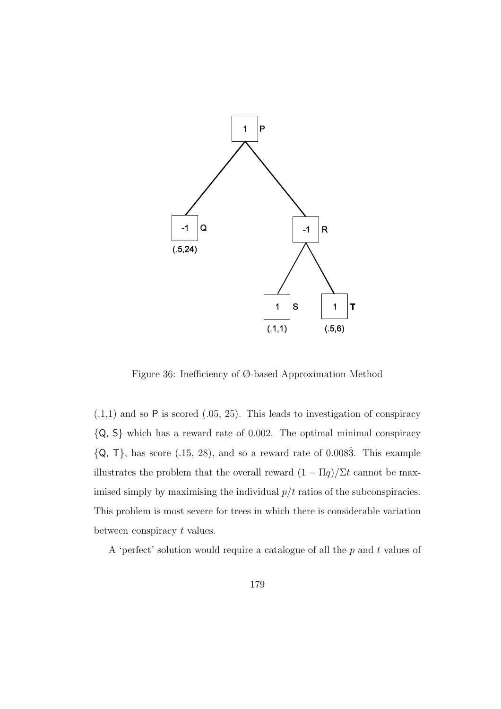

Figure 36: Inefficiency of Ø-based Approximation Method

 $(.1,1)$  and so  $P$  is scored  $(.05, 25)$ . This leads to investigation of conspiracy {Q, S} which has a reward rate of 0.002. The optimal minimal conspiracy  ${Q, T}$ , has score (.15, 28), and so a reward rate of 0.0083. This example illustrates the problem that the overall reward  $(1 - \Pi q)/\Sigma t$  cannot be maximised simply by maximising the individual  $p/t$  ratios of the subconspiracies. This problem is most severe for trees in which there is considerable variation between conspiracy t values.

A 'perfect' solution would require a catalogue of all the  $p$  and  $t$  values of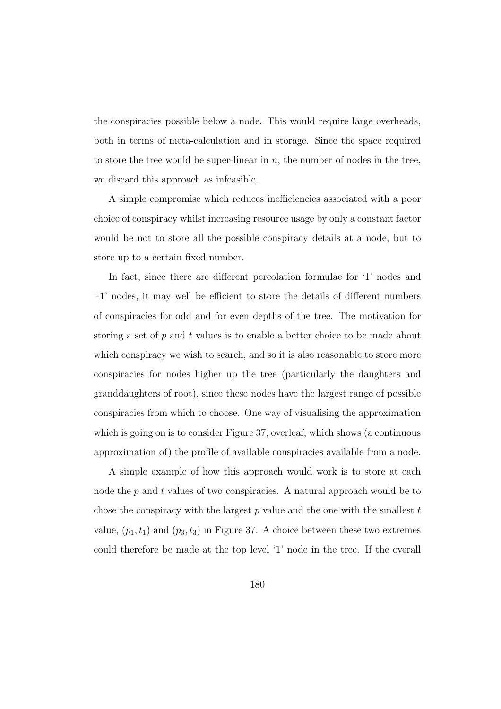the conspiracies possible below a node. This would require large overheads, both in terms of meta-calculation and in storage. Since the space required to store the tree would be super-linear in  $n$ , the number of nodes in the tree, we discard this approach as infeasible.

A simple compromise which reduces inefficiencies associated with a poor choice of conspiracy whilst increasing resource usage by only a constant factor would be not to store all the possible conspiracy details at a node, but to store up to a certain fixed number.

In fact, since there are different percolation formulae for '1' nodes and '-1' nodes, it may well be efficient to store the details of different numbers of conspiracies for odd and for even depths of the tree. The motivation for storing a set of  $p$  and  $t$  values is to enable a better choice to be made about which conspiracy we wish to search, and so it is also reasonable to store more conspiracies for nodes higher up the tree (particularly the daughters and granddaughters of root), since these nodes have the largest range of possible conspiracies from which to choose. One way of visualising the approximation which is going on is to consider Figure 37, overleaf, which shows (a continuous approximation of) the profile of available conspiracies available from a node.

A simple example of how this approach would work is to store at each node the  $p$  and  $t$  values of two conspiracies. A natural approach would be to chose the conspiracy with the largest  $p$  value and the one with the smallest  $t$ value,  $(p_1, t_1)$  and  $(p_3, t_3)$  in Figure 37. A choice between these two extremes could therefore be made at the top level '1' node in the tree. If the overall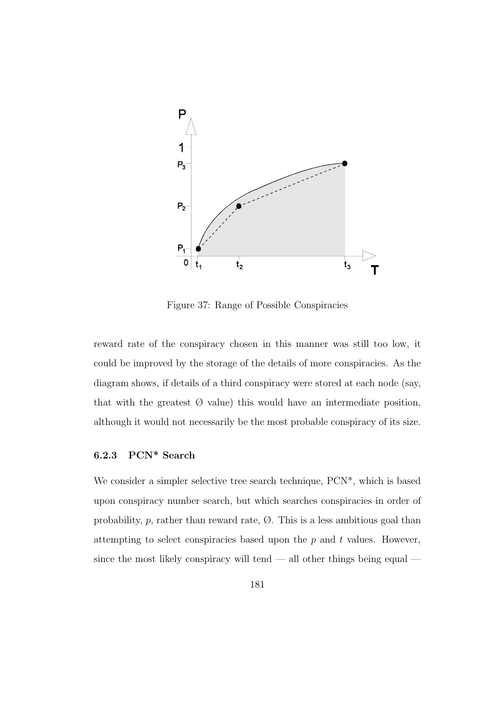

Figure 37: Range of Possible Conspiracies

reward rate of the conspiracy chosen in this manner was still too low, it could be improved by the storage of the details of more conspiracies. As the diagram shows, if details of a third conspiracy were stored at each node (say, that with the greatest  $\emptyset$  value) this would have an intermediate position, although it would not necessarily be the most probable conspiracy of its size.

#### **6.2.3 PCN\* Search**

We consider a simpler selective tree search technique,  $PCN^*$ , which is based upon conspiracy number search, but which searches conspiracies in order of probability,  $p$ , rather than reward rate,  $\emptyset$ . This is a less ambitious goal than attempting to select conspiracies based upon the  $p$  and  $t$  values. However, since the most likely conspiracy will tend  $-$  all other things being equal  $-$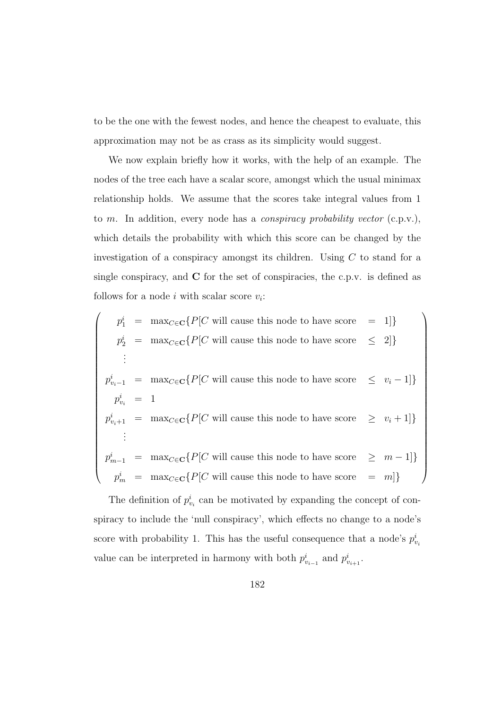to be the one with the fewest nodes, and hence the cheapest to evaluate, this approximation may not be as crass as its simplicity would suggest.

We now explain briefly how it works, with the help of an example. The nodes of the tree each have a scalar score, amongst which the usual minimax relationship holds. We assume that the scores take integral values from 1 to m. In addition, every node has a conspiracy probability vector (c.p.v.), which details the probability with which this score can be changed by the investigation of a conspiracy amongst its children. Using  $C$  to stand for a single conspiracy, and **C** for the set of conspiracies, the c.p.v. is defined as follows for a node i with scalar score  $v_i$ :

$$
\begin{cases}\n p_1^i = \max_{C \in \mathbf{C}} \{ P[C \text{ will cause this node to have score } = 1] \} \\
 p_2^i = \max_{C \in \mathbf{C}} \{ P[C \text{ will cause this node to have score } \leq 2] \} \\
 \vdots \\
 p_{v_i-1}^i = \max_{C \in \mathbf{C}} \{ P[C \text{ will cause this node to have score } \leq v_i - 1] \} \\
 p_{v_i}^i = 1 \\
 p_{v_i+1}^i = \max_{C \in \mathbf{C}} \{ P[C \text{ will cause this node to have score } \geq v_i + 1] \} \\
 \vdots \\
 p_{m-1}^i = \max_{C \in \mathbf{C}} \{ P[C \text{ will cause this node to have score } \geq m - 1] \} \\
 p_m^i = \max_{C \in \mathbf{C}} \{ P[C \text{ will cause this node to have score } = m] \}\n\end{cases}
$$

The definition of  $p_{v_i}^i$  can be motivated by expanding the concept of conspiracy to include the 'null conspiracy', which effects no change to a node's score with probability 1. This has the useful consequence that a node's  $p_{v_i}^i$ value can be interpreted in harmony with both  $p_{v_{i-1}}^i$  and  $p_{v_{i+1}}^i$ .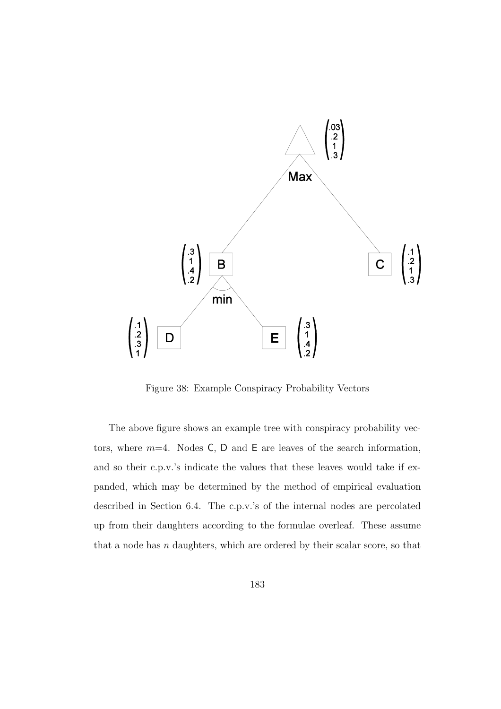

Figure 38: Example Conspiracy Probability Vectors

The above figure shows an example tree with conspiracy probability vectors, where  $m=4$ . Nodes C, D and E are leaves of the search information, and so their c.p.v.'s indicate the values that these leaves would take if expanded, which may be determined by the method of empirical evaluation described in Section 6.4. The c.p.v.'s of the internal nodes are percolated up from their daughters according to the formulae overleaf. These assume that a node has  $n$  daughters, which are ordered by their scalar score, so that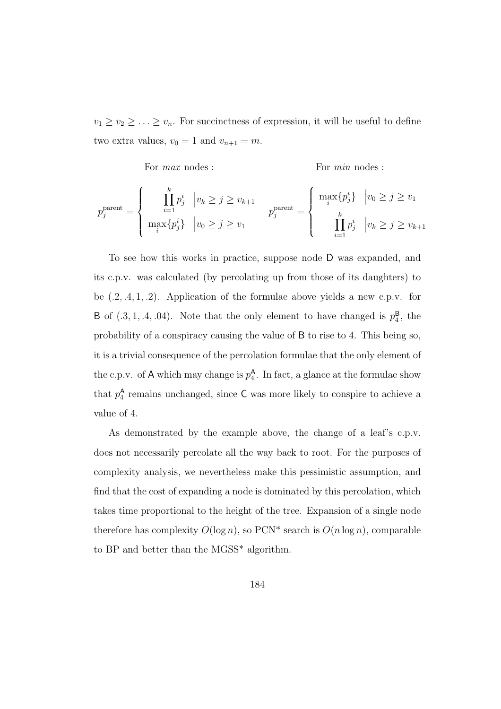$v_1 \ge v_2 \ge \ldots \ge v_n$ . For succinctness of expression, it will be useful to define two extra values,  $v_0 = 1$  and  $v_{n+1} = m$ .

For *max* nodes : For *min* nodes :  
\n
$$
p_j^{\text{parent}} = \begin{cases} \n\prod_{i=1}^k p_j^i & |v_k \geq j \geq v_{k+1} \\
\max_i \{p_j^i\} & |v_0 \geq j \geq v_1 \\
\max_i \{p_j^i\} & |v_0 \geq j \geq v_1\n\end{cases} \quad p_j^{\text{parent}} = \begin{cases} \n\max_i \{p_j^i\} & |v_0 \geq j \geq v_1 \\
\min_i \{p_j^i\} & |v_k \geq j \geq v_{k+1}\n\end{cases}
$$

To see how this works in practice, suppose node D was expanded, and its c.p.v. was calculated (by percolating up from those of its daughters) to be  $(0.2, 0.4, 1, 0.2)$ . Application of the formulae above yields a new c.p.v. for B of  $(.3, 1, .4, .04)$ . Note that the only element to have changed is  $p_4^B$ , the probability of a conspiracy causing the value of B to rise to 4. This being so, it is a trivial consequence of the percolation formulae that the only element of the c.p.v. of A which may change is  $p_4^{\mathsf{A}}$ . In fact, a glance at the formulae show that  $p_4^{\mathsf{A}}$  remains unchanged, since  $\mathsf{C}$  was more likely to conspire to achieve a value of 4.

As demonstrated by the example above, the change of a leaf's c.p.v. does not necessarily percolate all the way back to root. For the purposes of complexity analysis, we nevertheless make this pessimistic assumption, and find that the cost of expanding a node is dominated by this percolation, which takes time proportional to the height of the tree. Expansion of a single node therefore has complexity  $O(\log n)$ , so PCN\* search is  $O(n \log n)$ , comparable to BP and better than the MGSS\* algorithm.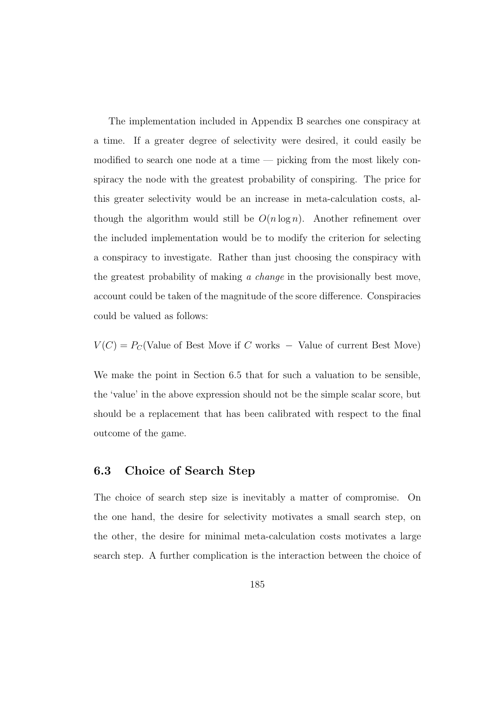The implementation included in Appendix B searches one conspiracy at a time. If a greater degree of selectivity were desired, it could easily be modified to search one node at a time — picking from the most likely conspiracy the node with the greatest probability of conspiring. The price for this greater selectivity would be an increase in meta-calculation costs, although the algorithm would still be  $O(n \log n)$ . Another refinement over the included implementation would be to modify the criterion for selecting a conspiracy to investigate. Rather than just choosing the conspiracy with the greatest probability of making a change in the provisionally best move, account could be taken of the magnitude of the score difference. Conspiracies could be valued as follows:

$$
V(C) = P_C
$$
(Value of Best Move if C works – Value of current Best Move)

We make the point in Section 6.5 that for such a valuation to be sensible, the 'value' in the above expression should not be the simple scalar score, but should be a replacement that has been calibrated with respect to the final outcome of the game.

#### **6.3 Choice of Search Step**

The choice of search step size is inevitably a matter of compromise. On the one hand, the desire for selectivity motivates a small search step, on the other, the desire for minimal meta-calculation costs motivates a large search step. A further complication is the interaction between the choice of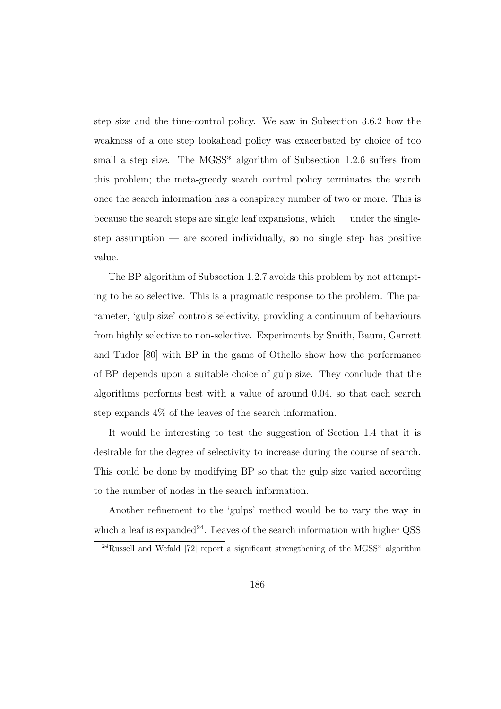step size and the time-control policy. We saw in Subsection 3.6.2 how the weakness of a one step lookahead policy was exacerbated by choice of too small a step size. The MGSS\* algorithm of Subsection 1.2.6 suffers from this problem; the meta-greedy search control policy terminates the search once the search information has a conspiracy number of two or more. This is because the search steps are single leaf expansions, which — under the singlestep assumption — are scored individually, so no single step has positive value.

The BP algorithm of Subsection 1.2.7 avoids this problem by not attempting to be so selective. This is a pragmatic response to the problem. The parameter, 'gulp size' controls selectivity, providing a continuum of behaviours from highly selective to non-selective. Experiments by Smith, Baum, Garrett and Tudor [80] with BP in the game of Othello show how the performance of BP depends upon a suitable choice of gulp size. They conclude that the algorithms performs best with a value of around 0.04, so that each search step expands 4% of the leaves of the search information.

It would be interesting to test the suggestion of Section 1.4 that it is desirable for the degree of selectivity to increase during the course of search. This could be done by modifying BP so that the gulp size varied according to the number of nodes in the search information.

Another refinement to the 'gulps' method would be to vary the way in which a leaf is expanded<sup>24</sup>. Leaves of the search information with higher QSS

 $^{24}$ Russell and Wefald [72] report a significant strengthening of the MGSS<sup>\*</sup> algorithm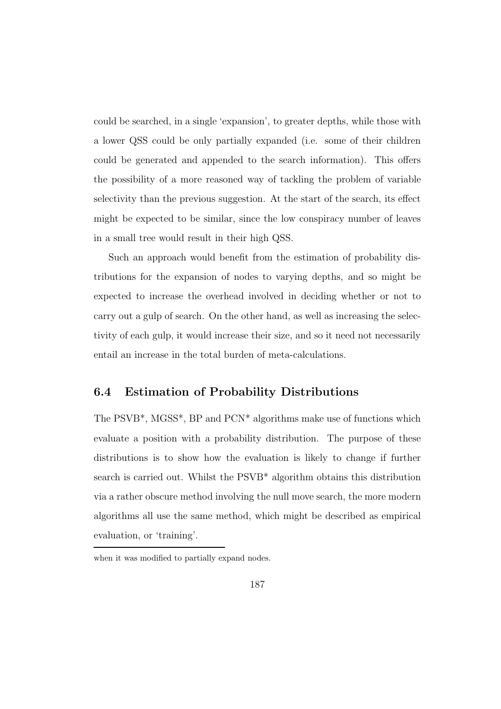could be searched, in a single 'expansion', to greater depths, while those with a lower QSS could be only partially expanded (i.e. some of their children could be generated and appended to the search information). This offers the possibility of a more reasoned way of tackling the problem of variable selectivity than the previous suggestion. At the start of the search, its effect might be expected to be similar, since the low conspiracy number of leaves in a small tree would result in their high QSS.

Such an approach would benefit from the estimation of probability distributions for the expansion of nodes to varying depths, and so might be expected to increase the overhead involved in deciding whether or not to carry out a gulp of search. On the other hand, as well as increasing the selectivity of each gulp, it would increase their size, and so it need not necessarily entail an increase in the total burden of meta-calculations.

# **6.4 Estimation of Probability Distributions**

The PSVB\*, MGSS\*, BP and PCN\* algorithms make use of functions which evaluate a position with a probability distribution. The purpose of these distributions is to show how the evaluation is likely to change if further search is carried out. Whilst the PSVB\* algorithm obtains this distribution via a rather obscure method involving the null move search, the more modern algorithms all use the same method, which might be described as empirical evaluation, or 'training'.

when it was modified to partially expand nodes.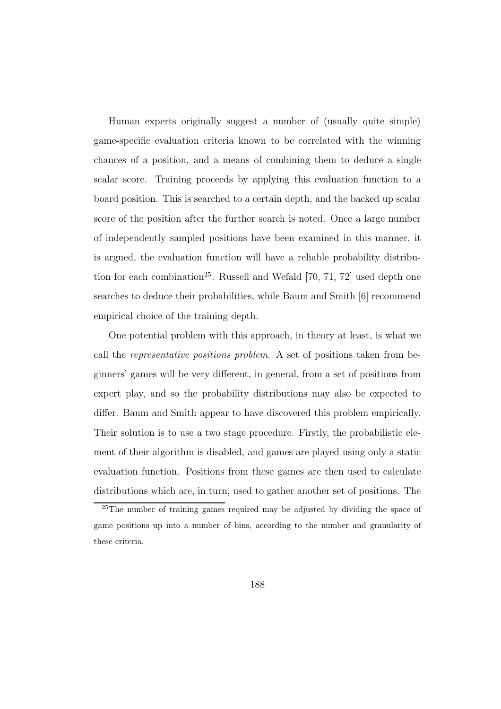Human experts originally suggest a number of (usually quite simple) game-specific evaluation criteria known to be correlated with the winning chances of a position, and a means of combining them to deduce a single scalar score. Training proceeds by applying this evaluation function to a board position. This is searched to a certain depth, and the backed up scalar score of the position after the further search is noted. Once a large number of independently sampled positions have been examined in this manner, it is argued, the evaluation function will have a reliable probability distribution for each combination<sup>25</sup>. Russell and Wefald [70, 71, 72] used depth one searches to deduce their probabilities, while Baum and Smith [6] recommend empirical choice of the training depth.

One potential problem with this approach, in theory at least, is what we call the representative positions problem. A set of positions taken from beginners' games will be very different, in general, from a set of positions from expert play, and so the probability distributions may also be expected to differ. Baum and Smith appear to have discovered this problem empirically. Their solution is to use a two stage procedure. Firstly, the probabilistic element of their algorithm is disabled, and games are played using only a static evaluation function. Positions from these games are then used to calculate distributions which are, in turn, used to gather another set of positions. The

<sup>25</sup>The number of training games required may be adjusted by dividing the space of game positions up into a number of bins, according to the number and granularity of these criteria.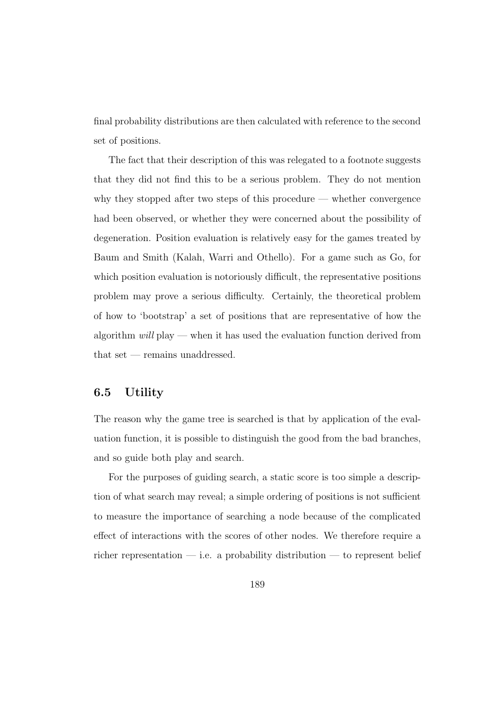final probability distributions are then calculated with reference to the second set of positions.

The fact that their description of this was relegated to a footnote suggests that they did not find this to be a serious problem. They do not mention why they stopped after two steps of this procedure — whether convergence had been observed, or whether they were concerned about the possibility of degeneration. Position evaluation is relatively easy for the games treated by Baum and Smith (Kalah, Warri and Othello). For a game such as Go, for which position evaluation is notoriously difficult, the representative positions problem may prove a serious difficulty. Certainly, the theoretical problem of how to 'bootstrap' a set of positions that are representative of how the algorithm  $will$  play — when it has used the evaluation function derived from that set — remains unaddressed.

#### **6.5 Utility**

The reason why the game tree is searched is that by application of the evaluation function, it is possible to distinguish the good from the bad branches, and so guide both play and search.

For the purposes of guiding search, a static score is too simple a description of what search may reveal; a simple ordering of positions is not sufficient to measure the importance of searching a node because of the complicated effect of interactions with the scores of other nodes. We therefore require a richer representation — i.e. a probability distribution — to represent belief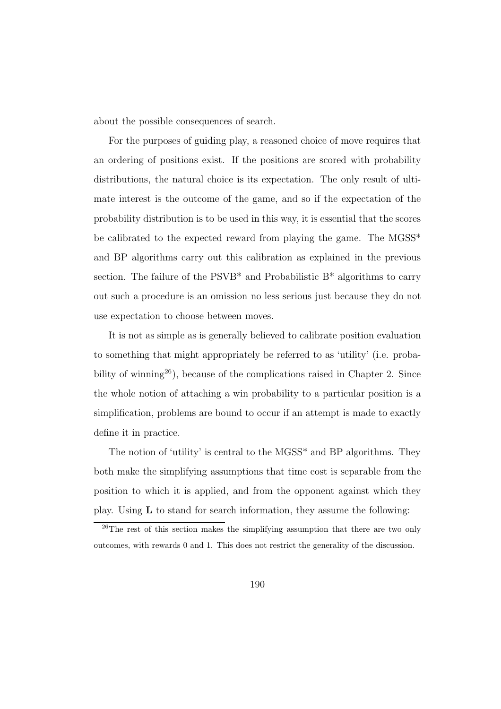about the possible consequences of search.

For the purposes of guiding play, a reasoned choice of move requires that an ordering of positions exist. If the positions are scored with probability distributions, the natural choice is its expectation. The only result of ultimate interest is the outcome of the game, and so if the expectation of the probability distribution is to be used in this way, it is essential that the scores be calibrated to the expected reward from playing the game. The MGSS\* and BP algorithms carry out this calibration as explained in the previous section. The failure of the  $PSVB^*$  and Probabilistic  $B^*$  algorithms to carry out such a procedure is an omission no less serious just because they do not use expectation to choose between moves.

It is not as simple as is generally believed to calibrate position evaluation to something that might appropriately be referred to as 'utility' (i.e. probability of winning<sup>26</sup>), because of the complications raised in Chapter 2. Since the whole notion of attaching a win probability to a particular position is a simplification, problems are bound to occur if an attempt is made to exactly define it in practice.

The notion of 'utility' is central to the MGSS\* and BP algorithms. They both make the simplifying assumptions that time cost is separable from the position to which it is applied, and from the opponent against which they play. Using **L** to stand for search information, they assume the following:

<sup>&</sup>lt;sup>26</sup>The rest of this section makes the simplifying assumption that there are two only outcomes, with rewards 0 and 1. This does not restrict the generality of the discussion.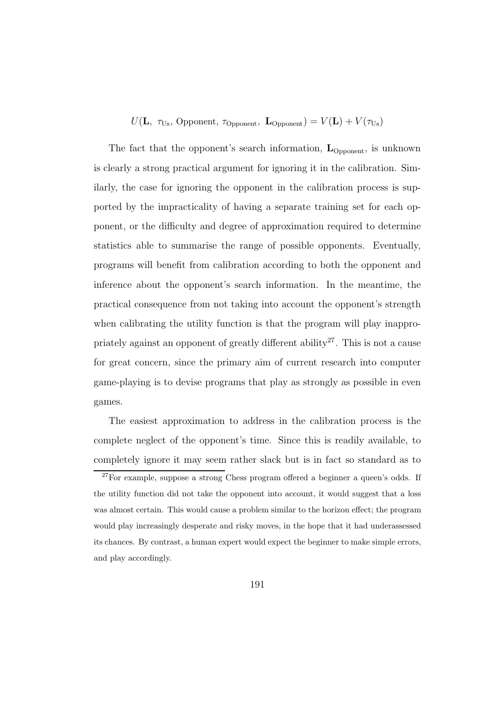$U(\mathbf{L}, \tau_{\text{Us}}, \text{Opponent}, \tau_{\text{Opponent}}, \mathbf{L}_{\text{Opponent}}) = V(\mathbf{L}) + V(\tau_{\text{Us}})$ 

The fact that the opponent's search information,  $\mathbf{L}_{\text{Opponen}}$ , is unknown is clearly a strong practical argument for ignoring it in the calibration. Similarly, the case for ignoring the opponent in the calibration process is supported by the impracticality of having a separate training set for each opponent, or the difficulty and degree of approximation required to determine statistics able to summarise the range of possible opponents. Eventually, programs will benefit from calibration according to both the opponent and inference about the opponent's search information. In the meantime, the practical consequence from not taking into account the opponent's strength when calibrating the utility function is that the program will play inappropriately against an opponent of greatly different ability<sup>27</sup>. This is not a cause for great concern, since the primary aim of current research into computer game-playing is to devise programs that play as strongly as possible in even games.

The easiest approximation to address in the calibration process is the complete neglect of the opponent's time. Since this is readily available, to completely ignore it may seem rather slack but is in fact so standard as to

 $27$  For example, suppose a strong Chess program offered a beginner a queen's odds. If the utility function did not take the opponent into account, it would suggest that a loss was almost certain. This would cause a problem similar to the horizon effect; the program would play increasingly desperate and risky moves, in the hope that it had underassessed its chances. By contrast, a human expert would expect the beginner to make simple errors, and play accordingly.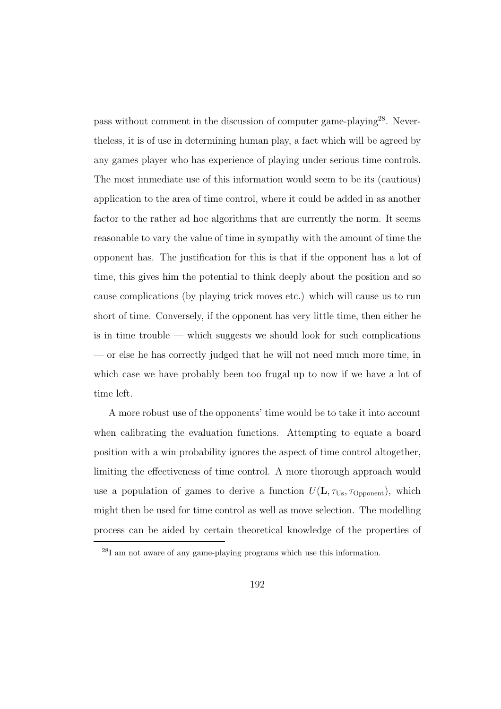pass without comment in the discussion of computer game-playing<sup>28</sup>. Nevertheless, it is of use in determining human play, a fact which will be agreed by any games player who has experience of playing under serious time controls. The most immediate use of this information would seem to be its (cautious) application to the area of time control, where it could be added in as another factor to the rather ad hoc algorithms that are currently the norm. It seems reasonable to vary the value of time in sympathy with the amount of time the opponent has. The justification for this is that if the opponent has a lot of time, this gives him the potential to think deeply about the position and so cause complications (by playing trick moves etc.) which will cause us to run short of time. Conversely, if the opponent has very little time, then either he is in time trouble — which suggests we should look for such complications — or else he has correctly judged that he will not need much more time, in which case we have probably been too frugal up to now if we have a lot of time left.

A more robust use of the opponents' time would be to take it into account when calibrating the evaluation functions. Attempting to equate a board position with a win probability ignores the aspect of time control altogether, limiting the effectiveness of time control. A more thorough approach would use a population of games to derive a function  $U(\mathbf{L}, \tau_{\text{Us}}, \tau_{\text{Opponen}})$ , which might then be used for time control as well as move selection. The modelling process can be aided by certain theoretical knowledge of the properties of

<sup>28</sup>I am not aware of any game-playing programs which use this information.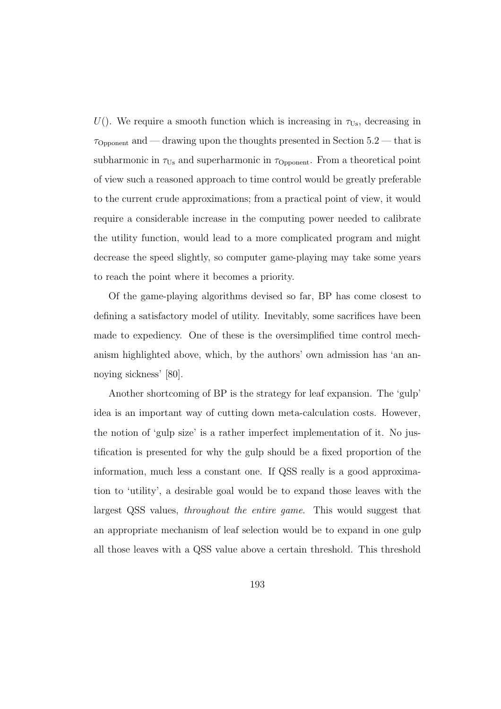U(). We require a smooth function which is increasing in  $\tau_{Us}$ , decreasing in  $\tau_{\text{Opponen}}$  and — drawing upon the thoughts presented in Section 5.2 — that is subharmonic in  $\tau_{\text{Us}}$  and superharmonic in  $\tau_{\text{Opponen}}$ . From a theoretical point of view such a reasoned approach to time control would be greatly preferable to the current crude approximations; from a practical point of view, it would require a considerable increase in the computing power needed to calibrate the utility function, would lead to a more complicated program and might decrease the speed slightly, so computer game-playing may take some years to reach the point where it becomes a priority.

Of the game-playing algorithms devised so far, BP has come closest to defining a satisfactory model of utility. Inevitably, some sacrifices have been made to expediency. One of these is the oversimplified time control mechanism highlighted above, which, by the authors' own admission has 'an annoying sickness' [80].

Another shortcoming of BP is the strategy for leaf expansion. The 'gulp' idea is an important way of cutting down meta-calculation costs. However, the notion of 'gulp size' is a rather imperfect implementation of it. No justification is presented for why the gulp should be a fixed proportion of the information, much less a constant one. If QSS really is a good approximation to 'utility', a desirable goal would be to expand those leaves with the largest QSS values, throughout the entire game. This would suggest that an appropriate mechanism of leaf selection would be to expand in one gulp all those leaves with a QSS value above a certain threshold. This threshold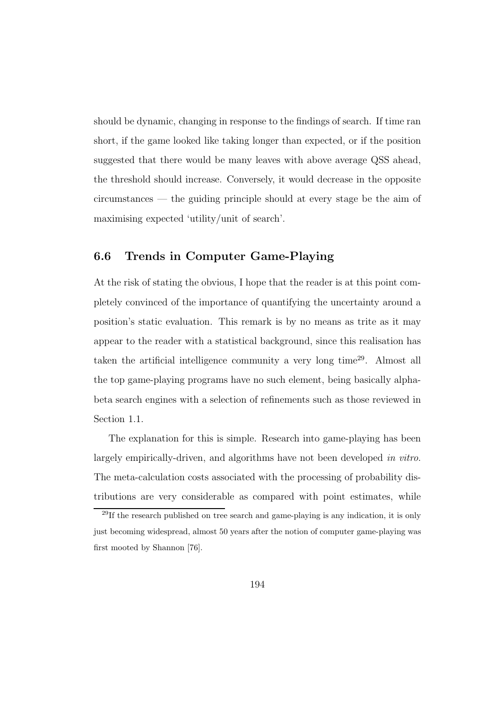should be dynamic, changing in response to the findings of search. If time ran short, if the game looked like taking longer than expected, or if the position suggested that there would be many leaves with above average QSS ahead, the threshold should increase. Conversely, it would decrease in the opposite circumstances — the guiding principle should at every stage be the aim of maximising expected 'utility/unit of search'.

# **6.6 Trends in Computer Game-Playing**

At the risk of stating the obvious, I hope that the reader is at this point completely convinced of the importance of quantifying the uncertainty around a position's static evaluation. This remark is by no means as trite as it may appear to the reader with a statistical background, since this realisation has taken the artificial intelligence community a very long time<sup>29</sup>. Almost all the top game-playing programs have no such element, being basically alphabeta search engines with a selection of refinements such as those reviewed in Section 1.1.

The explanation for this is simple. Research into game-playing has been largely empirically-driven, and algorithms have not been developed in vitro. The meta-calculation costs associated with the processing of probability distributions are very considerable as compared with point estimates, while

<sup>29</sup>If the research published on tree search and game-playing is any indication, it is only just becoming widespread, almost 50 years after the notion of computer game-playing was first mooted by Shannon [76].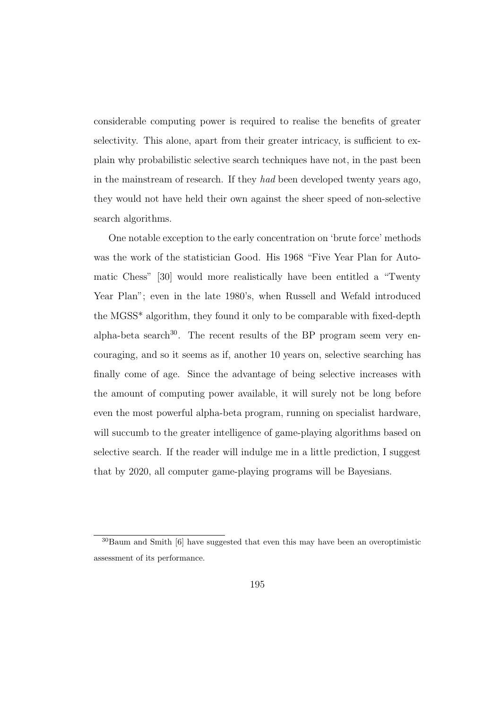considerable computing power is required to realise the benefits of greater selectivity. This alone, apart from their greater intricacy, is sufficient to explain why probabilistic selective search techniques have not, in the past been in the mainstream of research. If they had been developed twenty years ago, they would not have held their own against the sheer speed of non-selective search algorithms.

One notable exception to the early concentration on 'brute force' methods was the work of the statistician Good. His 1968 "Five Year Plan for Automatic Chess" [30] would more realistically have been entitled a "Twenty Year Plan"; even in the late 1980's, when Russell and Wefald introduced the MGSS\* algorithm, they found it only to be comparable with fixed-depth alpha-beta search $30$ . The recent results of the BP program seem very encouraging, and so it seems as if, another 10 years on, selective searching has finally come of age. Since the advantage of being selective increases with the amount of computing power available, it will surely not be long before even the most powerful alpha-beta program, running on specialist hardware, will succumb to the greater intelligence of game-playing algorithms based on selective search. If the reader will indulge me in a little prediction, I suggest that by 2020, all computer game-playing programs will be Bayesians.

<sup>30</sup>Baum and Smith [6] have suggested that even this may have been an overoptimistic assessment of its performance.